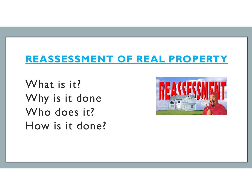### REASSESSMENT OF REAL PROPERTY

What is it? Why is it done Who does it? How is it done?

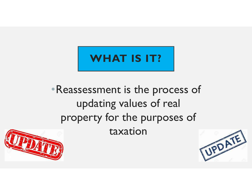# WHAT IS IT?

## •Reassessment is the process of updating values of real property for the purposes of taxation



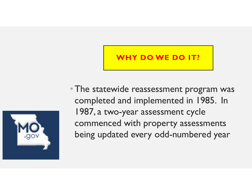### WHY DO WE DO IT?



• The statewide reassessment program was completed and implemented in 1985. In 1987, a two-year assessment cycle commenced with property assessments being updated every odd-numbered year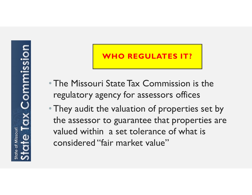# **x Commission** of Missouri

### **HO REGULATES IT?**

- •The Missouri State Tax Commission is the regulatory agency for assessors offices
- They audit the valuation of properties set by the assessor to guarantee that properties are valued within a set tolerance of what is considered "fair market value"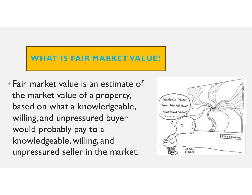### WHAT IS FAIR MARKET VALUE?

• Fair market value is an estimate of the market value of a property, based on what a knowledgeable, Fair Morket Wille? willing, and unpressured buyer would probably pay to a knowledgeable, willing, and unpressured seller in the market.

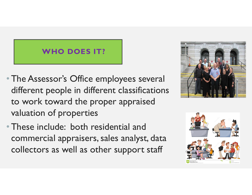### WHO DOES IT?

- •The Assessor's Office employees several different people in different classifications to work toward the proper appraised valuation of properties
- •These include: both residential and commercial appraisers, sales analyst, data collectors as well as other support staff



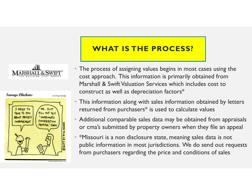



### WHAT IS THE PROCESS?

- The process of assigning values begins in most cases using the cost approach. This information is primarily obtained from Marshall & Swift Valuation Services which includes cost to construct as well as depreciation factors\* **COLOGESS?**<br>The process of assigning values begins in most cases using the cost approach. This information is primarily obtained from Marshall & Swift Valuation Services which includes cost to construct as well as deprecia
- This information along with sales information obtained by letters returned from purchasers\* is used to calculate values
- Additional comparable sales data may be obtained from appraisals
- \*Missouri is a non disclosure state, meaning sales data is not public information in most jurisdictions. We do send out requests from purchasers regarding the price and conditions of sales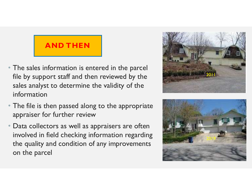### AND THEN

- The sales information is entered in the parcel file by support staff and then reviewed by the sales analyst to determine the validity of the information
- The file is then passed along to the appropriate appraiser for further review
- Data collectors as well as appraisers are often involved in field checking information regarding the quality and condition of any improvements on the parcel



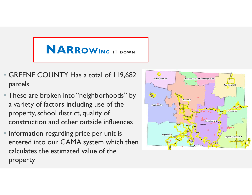# NARROWING IT DOWN

- GREENE COUNTY Has a total of 119,682 parcels
- These are broken into "neighborhoods" by a variety of factors including use of the property, school district, quality of construction and other outside influences
- Information regarding price per unit is entered into our CAMA system which then calculates the estimated value of the property

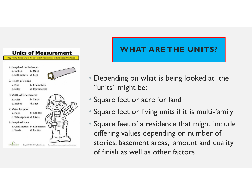

### WHAT ARE THE UNITS?

- Depending on what is being looked at the "units" might be:
- Square feet or acre for land
- Square feet or living units if it is multi-family
- Square feet of a residence that might include differing values depending on number of stories, basement areas, amount and quality of finish as well as other factors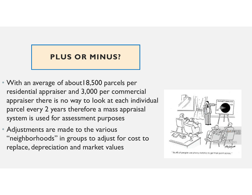### PLUS OR MINUS?

- With an average of about 18,500 parcels per residential appraiser and 3,000 per commercial appraiser there is no way to look at each individual parcel every 2 years therefore a mass appraisal system is used for assessment purposes
- Adjustments are made to the various "neighborhoods" in groups to adjust for cost to replace, depreciation and market values



"86.4% of people use phony statistics to get their point across.